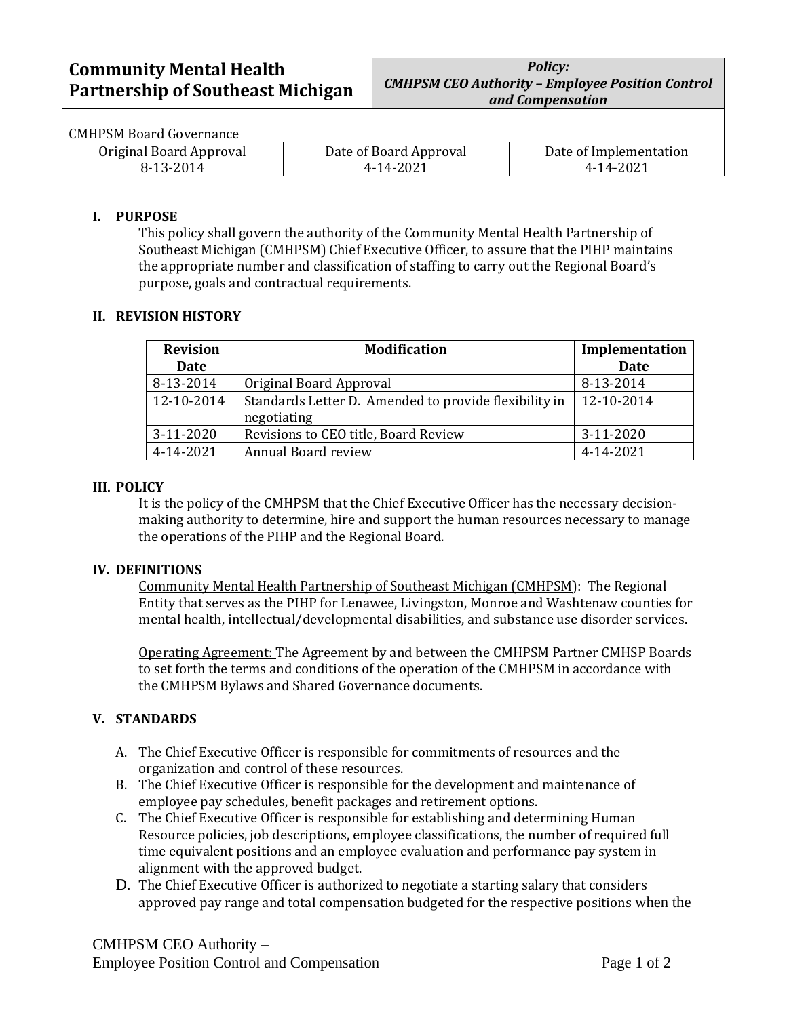| <b>Community Mental Health</b><br><b>Partnership of Southeast Michigan</b> |  | <b>Policy:</b><br><b>CMHPSM CEO Authority - Employee Position Control</b><br>and Compensation |                                     |
|----------------------------------------------------------------------------|--|-----------------------------------------------------------------------------------------------|-------------------------------------|
| <b>CMHPSM Board Governance</b>                                             |  |                                                                                               |                                     |
| Original Board Approval<br>8-13-2014                                       |  | Date of Board Approval<br>4-14-2021                                                           | Date of Implementation<br>4-14-2021 |

# **I. PURPOSE**

This policy shall govern the authority of the Community Mental Health Partnership of Southeast Michigan (CMHPSM) Chief Executive Officer, to assure that the PIHP maintains the appropriate number and classification of staffing to carry out the Regional Board's purpose, goals and contractual requirements.

## **II. REVISION HISTORY**

| <b>Revision</b> | <b>Modification</b>                                   | Implementation |
|-----------------|-------------------------------------------------------|----------------|
| Date            |                                                       | Date           |
| 8-13-2014       | Original Board Approval                               | 8-13-2014      |
| 12-10-2014      | Standards Letter D. Amended to provide flexibility in | 12-10-2014     |
|                 | negotiating                                           |                |
| 3-11-2020       | Revisions to CEO title, Board Review                  | 3-11-2020      |
| 4-14-2021       | Annual Board review                                   | 4-14-2021      |

### **III. POLICY**

It is the policy of the CMHPSM that the Chief Executive Officer has the necessary decisionmaking authority to determine, hire and support the human resources necessary to manage the operations of the PIHP and the Regional Board.

### **IV. DEFINITIONS**

Community Mental Health Partnership of Southeast Michigan (CMHPSM): The Regional Entity that serves as the PIHP for Lenawee, Livingston, Monroe and Washtenaw counties for mental health, intellectual/developmental disabilities, and substance use disorder services.

Operating Agreement: The Agreement by and between the CMHPSM Partner CMHSP Boards to set forth the terms and conditions of the operation of the CMHPSM in accordance with the CMHPSM Bylaws and Shared Governance documents.

### **V. STANDARDS**

- A. The Chief Executive Officer is responsible for commitments of resources and the organization and control of these resources.
- B. The Chief Executive Officer is responsible for the development and maintenance of employee pay schedules, benefit packages and retirement options.
- C. The Chief Executive Officer is responsible for establishing and determining Human Resource policies, job descriptions, employee classifications, the number of required full time equivalent positions and an employee evaluation and performance pay system in alignment with the approved budget.
- D. The Chief Executive Officer is authorized to negotiate a starting salary that considers approved pay range and total compensation budgeted for the respective positions when the

CMHPSM CEO Authority – Employee Position Control and Compensation **Page 1 of 2**